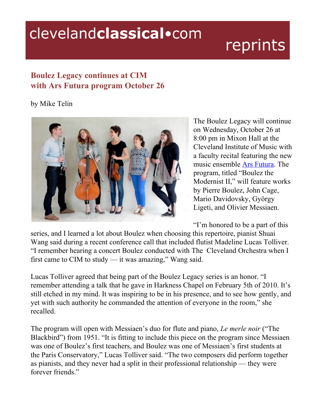## clevelandclassical.com

## reprints

## **Boulez Legacy continues at CIM with Ars Futura program October 26**

## by Mike Telin



The Boulez Legacy will continue on Wednesday, October 26 at 8:00 pm in Mixon Hall at the Cleveland Institute of Music with a faculty recital featuring the new music ensemble [Ars Futura.](http://www.arsfuturaensemble.com/) The program, titled "Boulez the Modernist II," will feature works by Pierre Boulez, John Cage, Mario Davidovsky, György Ligeti, and Olivier Messiaen.

"I'm honored to be a part of this

series, and I learned a lot about Boulez when choosing this repertoire, pianist Shuai Wang said during a recent conference call that included flutist Madeline Lucas Tolliver. "I remember hearing a concert Boulez conducted with The Cleveland Orchestra when I first came to CIM to study — it was amazing," Wang said.

Lucas Tolliver agreed that being part of the Boulez Legacy series is an honor. "I remember attending a talk that he gave in Harkness Chapel on February 5th of 2010. It's still etched in my mind. It was inspiring to be in his presence, and to see how gently, and yet with such authority he commanded the attention of everyone in the room," she recalled.

The program will open with Messiaen's duo for flute and piano, *Le merle noir* ("The Blackbird") from 1951. "It is fitting to include this piece on the program since Messiaen was one of Boulez's first teachers, and Boulez was one of Messiaen's first students at the Paris Conservatory," Lucas Tolliver said. "The two composers did perform together as pianists, and they never had a split in their professional relationship — they were forever friends."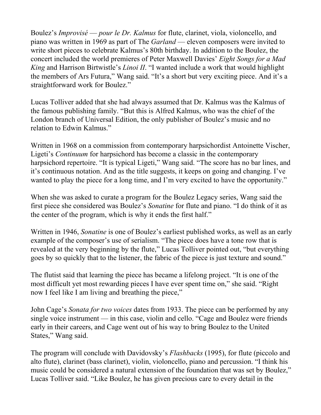Boulez's *Improvisé* — *pour le Dr. Kalmus* for flute, clarinet, viola, violoncello, and piano was written in 1969 as part of The *Garland* — eleven composers were invited to write short pieces to celebrate Kalmus's 80th birthday. In addition to the Boulez, the concert included the world premieres of Peter Maxwell Davies' *Eight Songs for a Mad King* and Harrison Birtwistle's *Linoi II*. "I wanted include a work that would highlight the members of Ars Futura," Wang said. "It's a short but very exciting piece. And it's a straightforward work for Boulez."

Lucas Tolliver added that she had always assumed that Dr. Kalmus was the Kalmus of the famous publishing family. "But this is Alfred Kalmus, who was the chief of the London branch of Universal Edition, the only publisher of Boulez's music and no relation to Edwin Kalmus."

Written in 1968 on a commission from contemporary harpsichordist Antoinette Vischer, Ligeti's *Continuum* for harpsichord has become a classic in the contemporary harpsichord repertoire. "It is typical Ligeti," Wang said. "The score has no bar lines, and it's continuous notation. And as the title suggests, it keeps on going and changing. I've wanted to play the piece for a long time, and I'm very excited to have the opportunity."

When she was asked to curate a program for the Boulez Legacy series, Wang said the first piece she considered was Boulez's *Sonatine* for flute and piano. "I do think of it as the center of the program, which is why it ends the first half."

Written in 1946, *Sonatine* is one of Boulez's earliest published works, as well as an early example of the composer's use of serialism. "The piece does have a tone row that is revealed at the very beginning by the flute," Lucas Tolliver pointed out, "but everything goes by so quickly that to the listener, the fabric of the piece is just texture and sound."

The flutist said that learning the piece has became a lifelong project. "It is one of the most difficult yet most rewarding pieces I have ever spent time on," she said. "Right now I feel like I am living and breathing the piece,"

John Cage's *Sonata for two voices* dates from 1933. The piece can be performed by any single voice instrument — in this case, violin and cello. "Cage and Boulez were friends early in their careers, and Cage went out of his way to bring Boulez to the United States," Wang said.

The program will conclude with Davidovsky's *Flashbacks* (1995), for flute (piccolo and alto flute), clarinet (bass clarinet), violin, violoncello, piano and percussion. "I think his music could be considered a natural extension of the foundation that was set by Boulez," Lucas Tolliver said. "Like Boulez, he has given precious care to every detail in the